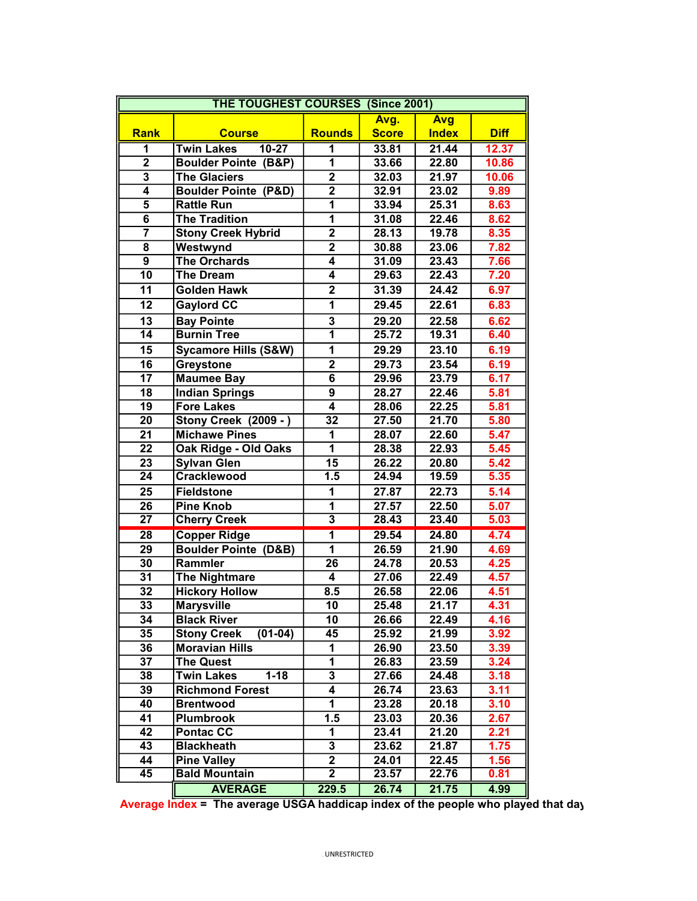| <b>THE TOUGHEST COURSES (Since 2001)</b> |                                 |                         |              |              |             |
|------------------------------------------|---------------------------------|-------------------------|--------------|--------------|-------------|
|                                          |                                 |                         | Avg.         | <b>Avg</b>   |             |
| <b>Rank</b>                              | <b>Course</b>                   | <b>Rounds</b>           | <b>Score</b> | <b>Index</b> | <b>Diff</b> |
| 1                                        | $10 - 27$<br><b>Twin Lakes</b>  | 1                       | 33.81        | 21.44        | 12.37       |
| $\overline{2}$                           | <b>Boulder Pointe (B&amp;P)</b> | 1                       | 33.66        | 22.80        | 10.86       |
| $\overline{\mathbf{3}}$                  | <b>The Glaciers</b>             | $\overline{2}$          | 32.03        | 21.97        | 10.06       |
| 4                                        | <b>Boulder Pointe (P&amp;D)</b> | $\overline{2}$          | 32.91        | 23.02        | 9.89        |
| $\overline{\mathbf{5}}$                  | <b>Rattle Run</b>               | $\overline{1}$          | 33.94        | 25.31        | 8.63        |
| 6                                        | <b>The Tradition</b>            | $\overline{1}$          | 31.08        | 22.46        | 8.62        |
| $\overline{\mathbf{7}}$                  | <b>Stony Creek Hybrid</b>       | $\overline{2}$          | 28.13        | 19.78        | 8.35        |
| 8                                        | Westwynd                        | $\overline{2}$          | 30.88        | 23.06        | 7.82        |
| 9                                        | <b>The Orchards</b>             | $\overline{4}$          | 31.09        | 23.43        | 7.66        |
| 10                                       | <b>The Dream</b>                | 4                       | 29.63        | 22.43        | 7.20        |
| 11                                       | <b>Golden Hawk</b>              | $\overline{2}$          | 31.39        | 24.42        | 6.97        |
| 12                                       | <b>Gaylord CC</b>               | $\overline{1}$          | 29.45        | 22.61        | 6.83        |
| 13                                       | <b>Bay Pointe</b>               | 3                       | 29.20        | 22.58        | 6.62        |
| $\overline{14}$                          | <b>Burnin Tree</b>              | $\overline{1}$          | 25.72        | 19.31        | 6.40        |
| 15                                       | <b>Sycamore Hills (S&amp;W)</b> | 1                       | 29.29        | 23.10        | 6.19        |
| $\overline{16}$                          | Greystone                       | $\overline{2}$          | 29.73        | 23.54        | 6.19        |
| $\overline{17}$                          | <b>Maumee Bay</b>               | $\overline{6}$          | 29.96        | 23.79        | 6.17        |
| 18                                       | <b>Indian Springs</b>           | $\overline{9}$          | 28.27        | 22.46        | 5.81        |
| $\overline{19}$                          | <b>Fore Lakes</b>               | $\overline{4}$          | 28.06        | 22.25        | 5.81        |
| 20                                       | <b>Stony Creek (2009 - )</b>    | $\overline{32}$         | 27.50        | 21.70        | 5.80        |
| $\overline{21}$                          | <b>Michawe Pines</b>            | 1                       | 28.07        | 22.60        | 5.47        |
| $\overline{22}$                          | Oak Ridge - Old Oaks            | $\overline{1}$          | 28.38        | 22.93        | 5.45        |
| 23                                       | <b>Sylvan Glen</b>              | 15                      | 26.22        | 20.80        | 5.42        |
| $\overline{24}$                          | <b>Cracklewood</b>              | 1.5                     | 24.94        | 19.59        | 5.35        |
| 25                                       | <b>Fieldstone</b>               | 1                       | 27.87        | 22.73        | 5.14        |
| 26                                       | <b>Pine Knob</b>                | 1                       | 27.57        | 22.50        | 5.07        |
| $\overline{27}$                          | <b>Cherry Creek</b>             | $\overline{\mathbf{3}}$ | 28.43        | 23.40        | 5.03        |
| $\overline{28}$                          | <b>Copper Ridge</b>             | $\overline{\mathbf{1}}$ | 29.54        | 24.80        | 4.74        |
| 29                                       | <b>Boulder Pointe (D&amp;B)</b> | 1                       | 26.59        | 21.90        | 4.69        |
| 30                                       | Rammler                         | 26                      | 24.78        | 20.53        | 4.25        |
| 31                                       | The Nightmare                   | 4                       | 27.06        | 22.49        | 4.57        |
| 32                                       | <b>Hickory Hollow</b>           | 8.5                     | 26.58        | 22.06        | 4.51        |
| $\overline{33}$                          | <b>Marysville</b>               | 10                      | 25.48        | 21.17        | 4.31        |
| 34                                       | <b>Black River</b>              | 10                      | 26.66        | 22.49        | 4.16        |
| 35                                       | <b>Stony Creek</b><br>(01-04)   | 45                      | 25.92        | 21.99        | 3.92        |
| 36                                       | <b>Moravian Hills</b>           | 1                       | 26.90        | 23.50        | 3.39        |
| 37                                       | The Quest                       | 1                       | 26.83        | 23.59        | 3.24        |
| 38                                       | <b>Twin Lakes</b><br>$1 - 18$   | 3                       | 27.66        | 24.48        | 3.18        |
| 39                                       | <b>Richmond Forest</b>          | 4                       | 26.74        | 23.63        | 3.11        |
| 40                                       | <b>Brentwood</b>                | 1                       | 23.28        | 20.18        | 3.10        |
| 41                                       | <b>Plumbrook</b>                | 1.5                     | 23.03        | 20.36        | 2.67        |
| 42                                       | <b>Pontac CC</b>                | 1                       | 23.41        | 21.20        | 2.21        |
| 43                                       | <b>Blackheath</b>               | $\overline{\mathbf{3}}$ | 23.62        | 21.87        | 1.75        |
| 44                                       | <b>Pine Valley</b>              | $\overline{2}$          | 24.01        | 22.45        | 1.56        |
| $\overline{45}$                          | <b>Bald Mountain</b>            | $\overline{2}$          | 23.57        | 22.76        | 0.81        |
|                                          | <b>AVERAGE</b>                  | 229.5                   | 26.74        | 21.75        | 4.99        |

Average Index = The average USGA haddicap index of the people who played that day.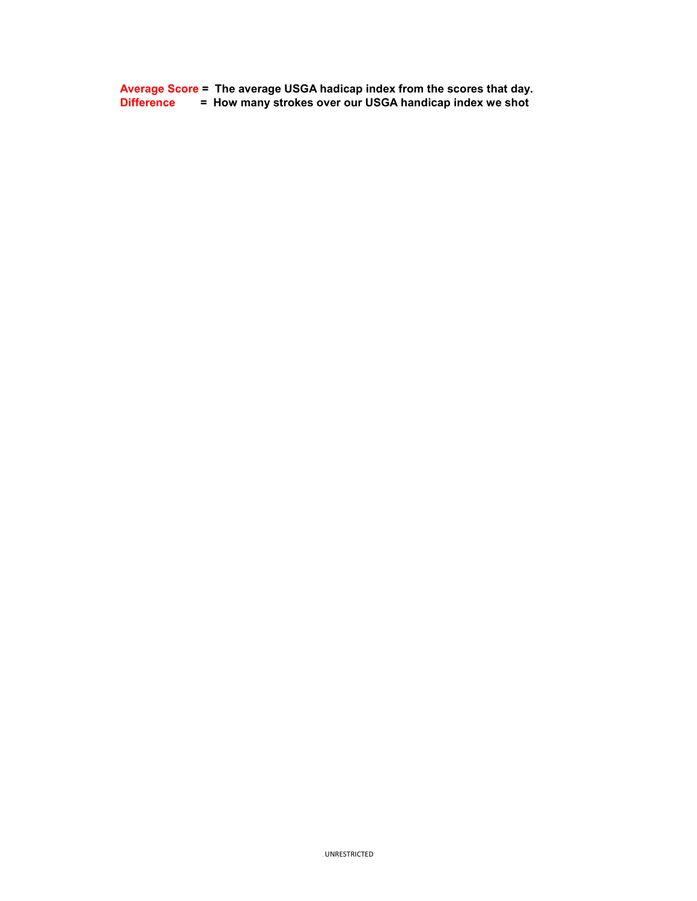Average Score = The average USGA hadicap index from the scores that day. Difference = How many strokes over our USGA handicap index we shot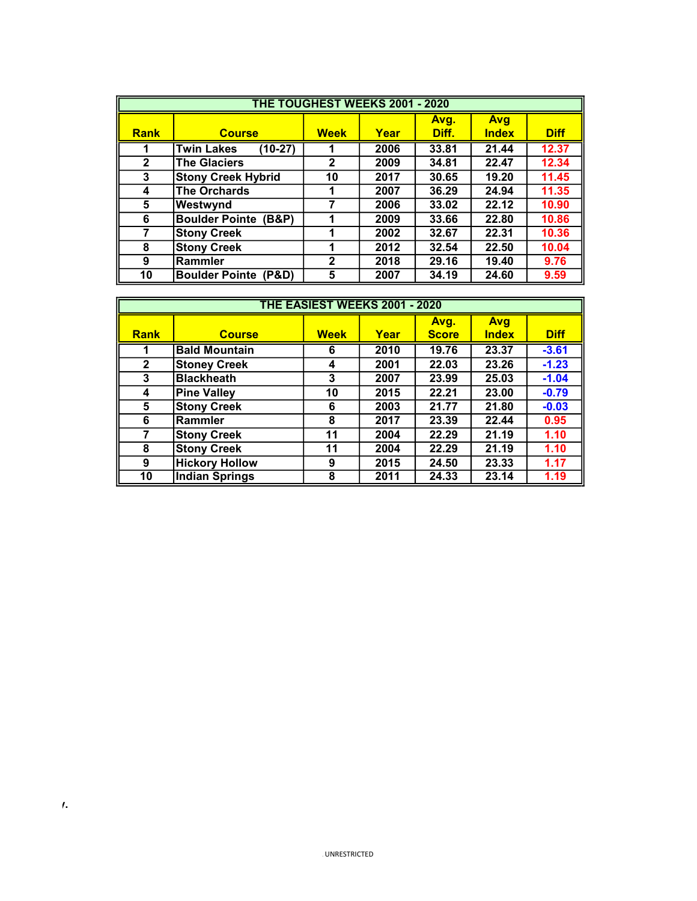| <b>THE TOUGHEST WEEKS 2001 - 2020</b> |                                 |              |      |       |              |             |
|---------------------------------------|---------------------------------|--------------|------|-------|--------------|-------------|
|                                       |                                 |              |      | Avg.  | <b>Avg</b>   |             |
| <b>Rank</b>                           | <b>Course</b>                   | <b>Week</b>  | Year | Diff. | <b>Index</b> | <b>Diff</b> |
| 1                                     | <b>Twin Lakes</b><br>$(10-27)$  |              | 2006 | 33.81 | 21.44        | 12.37       |
| $\mathbf{2}$                          | <b>The Glaciers</b>             | $\mathbf{2}$ | 2009 | 34.81 | 22.47        | 12.34       |
| 3                                     | <b>Stony Creek Hybrid</b>       | 10           | 2017 | 30.65 | 19.20        | 11.45       |
| 4                                     | The Orchards                    | 1            | 2007 | 36.29 | 24.94        | 11.35       |
| 5                                     | Westwynd                        | 7            | 2006 | 33.02 | 22.12        | 10.90       |
| 6                                     | <b>Boulder Pointe (B&amp;P)</b> | 1            | 2009 | 33.66 | 22.80        | 10.86       |
| 7                                     | <b>Stony Creek</b>              | 1            | 2002 | 32.67 | 22.31        | 10.36       |
| 8                                     | <b>Stony Creek</b>              | 1            | 2012 | 32.54 | 22.50        | 10.04       |
| 9                                     | Rammler                         | $\mathbf{2}$ | 2018 | 29.16 | 19.40        | 9.76        |
| 10                                    | <b>Boulder Pointe (P&amp;D)</b> | 5            | 2007 | 34.19 | 24.60        | 9.59        |

| THE EASIEST WEEKS 2001 - 2020 |                       |             |      |              |              |             |
|-------------------------------|-----------------------|-------------|------|--------------|--------------|-------------|
|                               |                       |             |      | Avg.         | <b>Avg</b>   |             |
| <b>Rank</b>                   | <b>Course</b>         | <b>Week</b> | Year | <b>Score</b> | <b>Index</b> | <b>Diff</b> |
| 1                             | <b>Bald Mountain</b>  | 6           | 2010 | 19.76        | 23.37        | $-3.61$     |
| $\mathbf{2}$                  | <b>Stoney Creek</b>   | 4           | 2001 | 22.03        | 23.26        | $-1.23$     |
| 3                             | <b>Blackheath</b>     | 3           | 2007 | 23.99        | 25.03        | $-1.04$     |
| 4                             | <b>Pine Valley</b>    | 10          | 2015 | 22.21        | 23.00        | $-0.79$     |
| 5                             | <b>Stony Creek</b>    | 6           | 2003 | 21.77        | 21.80        | $-0.03$     |
| 6                             | Rammler               | 8           | 2017 | 23.39        | 22.44        | 0.95        |
| 7                             | <b>Stony Creek</b>    | 11          | 2004 | 22.29        | 21.19        | 1.10        |
| 8                             | <b>Stony Creek</b>    | 11          | 2004 | 22.29        | 21.19        | 1.10        |
| 9                             | <b>Hickory Hollow</b> | 9           | 2015 | 24.50        | 23.33        | 1.17        |
| 10                            | <b>Indian Springs</b> | 8           | 2011 | 24.33        | 23.14        | 1.19        |